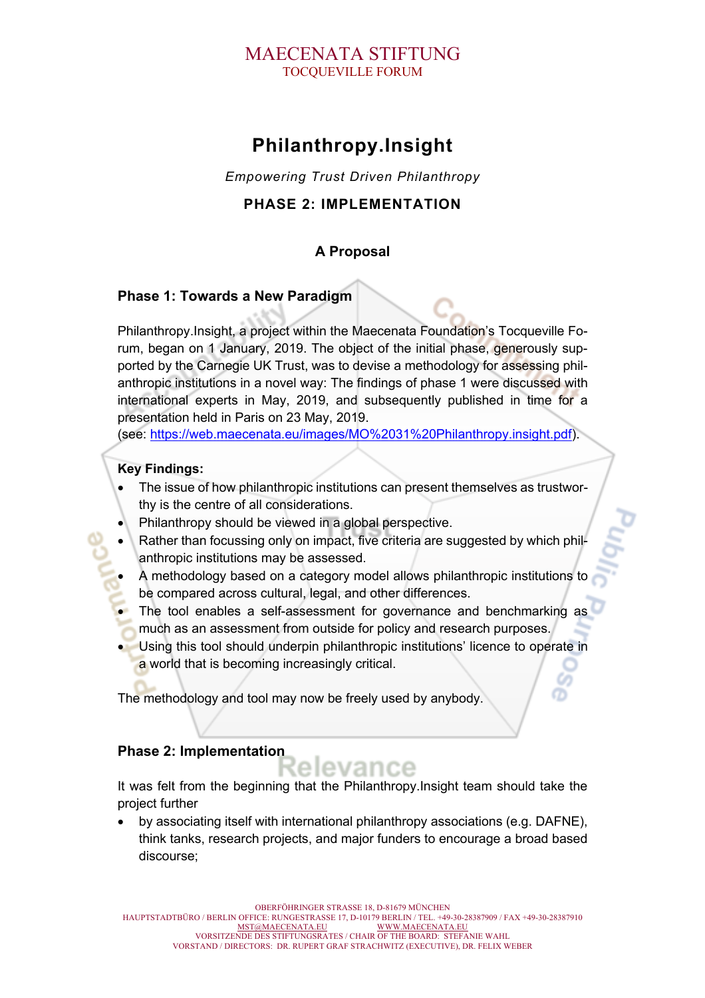## MAECENATA STIFTUNG TOCQUEVILLE FORUM

# **Philanthropy.Insight**

*Empowering Trust Driven Philanthropy*

## **PHASE 2: IMPLEMENTATION**

## **A Proposal**

## **Phase 1: Towards a New Paradigm**

Philanthropy.Insight, a project within the Maecenata Foundation's Tocqueville Forum, began on 1 January, 2019. The object of the initial phase, generously supported by the Carnegie UK Trust, was to devise a methodology for assessing philanthropic institutions in a novel way: The findings of phase 1 were discussed with international experts in May, 2019, and subsequently published in time for a presentation held in Paris on 23 May, 2019.

(see: https://web.maecenata.eu/images/MO%2031%20Philanthropy.insight.pdf).

### **Key Findings:**

- The issue of how philanthropic institutions can present themselves as trustworthy is the centre of all considerations.
- Philanthropy should be viewed in a global perspective.
- Rather than focussing only on impact, five criteria are suggested by which philanthropic institutions may be assessed.
- A methodology based on a category model allows philanthropic institutions to be compared across cultural, legal, and other differences.
- The tool enables a self-assessment for governance and benchmarking as much as an assessment from outside for policy and research purposes.
- Using this tool should underpin philanthropic institutions' licence to operate in a world that is becoming increasingly critical.

The methodology and tool may now be freely used by anybody.

### **Phase 2: Implementation**

It was felt from the beginning that the Philanthropy.Insight team should take the project further

• by associating itself with international philanthropy associations (e.g. DAFNE), think tanks, research projects, and major funders to encourage a broad based discourse;

OBERFÖHRINGER STRASSE 18, D-81679 MÜNCHEN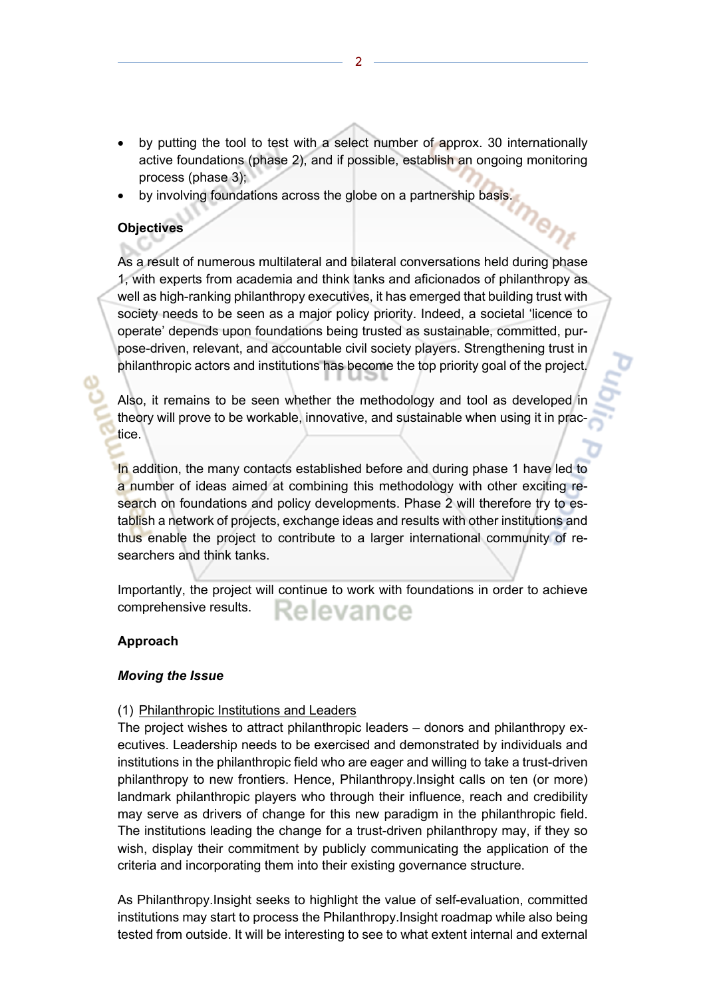• by putting the tool to test with a select number of approx. 30 internationally active foundations (phase 2), and if possible, establish an ongoing monitoring process (phase 3);

me<sub>n)</sub>

by involving foundations across the globe on a partnership basis.

#### **Objectives**

As a result of numerous multilateral and bilateral conversations held during phase 1, with experts from academia and think tanks and aficionados of philanthropy as well as high-ranking philanthropy executives, it has emerged that building trust with society needs to be seen as a major policy priority. Indeed, a societal 'licence to operate' depends upon foundations being trusted as sustainable, committed, purpose-driven, relevant, and accountable civil society players. Strengthening trust in philanthropic actors and institutions has become the top priority goal of the project.

Also, it remains to be seen whether the methodology and tool as developed in theory will prove to be workable, innovative, and sustainable when using it in practice.

In addition, the many contacts established before and during phase 1 have led to a number of ideas aimed at combining this methodology with other exciting research on foundations and policy developments. Phase 2 will therefore try to establish a network of projects, exchange ideas and results with other institutions and thus enable the project to contribute to a larger international community of researchers and think tanks.

Importantly, the project will continue to work with foundations in order to achieve comprehensive results. elevance

#### **Approach**

#### *Moving the Issue*

#### (1) Philanthropic Institutions and Leaders

The project wishes to attract philanthropic leaders – donors and philanthropy executives. Leadership needs to be exercised and demonstrated by individuals and institutions in the philanthropic field who are eager and willing to take a trust-driven philanthropy to new frontiers. Hence, Philanthropy.Insight calls on ten (or more) landmark philanthropic players who through their influence, reach and credibility may serve as drivers of change for this new paradigm in the philanthropic field. The institutions leading the change for a trust-driven philanthropy may, if they so wish, display their commitment by publicly communicating the application of the criteria and incorporating them into their existing governance structure.

As Philanthropy.Insight seeks to highlight the value of self-evaluation, committed institutions may start to process the Philanthropy.Insight roadmap while also being tested from outside. It will be interesting to see to what extent internal and external

2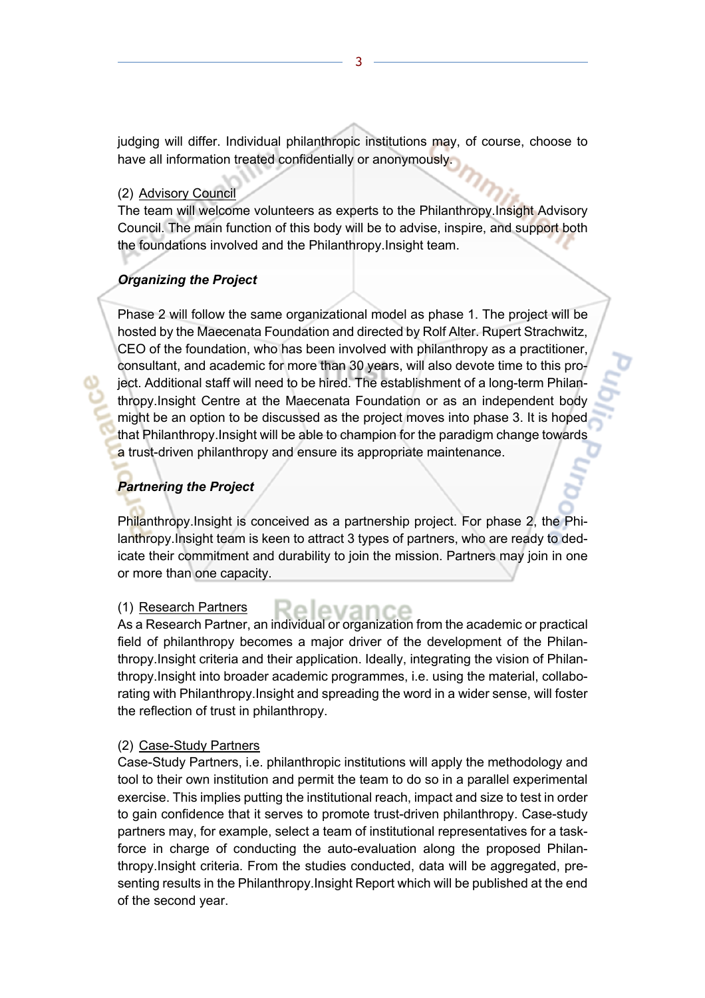judging will differ. Individual philanthropic institutions may, of course, choose to have all information treated confidentially or anonymously.

#### (2) Advisory Council

The team will welcome volunteers as experts to the Philanthropy.Insight Advisory Council. The main function of this body will be to advise, inspire, and support both the foundations involved and the Philanthropy.Insight team.

#### *Organizing the Project*

Phase 2 will follow the same organizational model as phase 1. The project will be hosted by the Maecenata Foundation and directed by Rolf Alter. Rupert Strachwitz, CEO of the foundation, who has been involved with philanthropy as a practitioner, consultant, and academic for more than 30 years, will also devote time to this project. Additional staff will need to be hired. The establishment of a long-term Philanthropy.Insight Centre at the Maecenata Foundation or as an independent body might be an option to be discussed as the project moves into phase 3. It is hoped that Philanthropy.Insight will be able to champion for the paradigm change towards a trust-driven philanthropy and ensure its appropriate maintenance.

## *Partnering the Project*

Philanthropy.Insight is conceived as a partnership project. For phase 2, the Philanthropy.Insight team is keen to attract 3 types of partners, who are ready to dedicate their commitment and durability to join the mission. Partners may join in one or more than one capacity.

#### (1) Research Partners

As a Research Partner, an individual or organization from the academic or practical field of philanthropy becomes a major driver of the development of the Philanthropy.Insight criteria and their application. Ideally, integrating the vision of Philanthropy.Insight into broader academic programmes, i.e. using the material, collaborating with Philanthropy.Insight and spreading the word in a wider sense, will foster the reflection of trust in philanthropy.

evano

#### (2) Case-Study Partners

Case-Study Partners, i.e. philanthropic institutions will apply the methodology and tool to their own institution and permit the team to do so in a parallel experimental exercise. This implies putting the institutional reach, impact and size to test in order to gain confidence that it serves to promote trust-driven philanthropy. Case-study partners may, for example, select a team of institutional representatives for a taskforce in charge of conducting the auto-evaluation along the proposed Philanthropy.Insight criteria. From the studies conducted, data will be aggregated, presenting results in the Philanthropy.Insight Report which will be published at the end of the second year.

3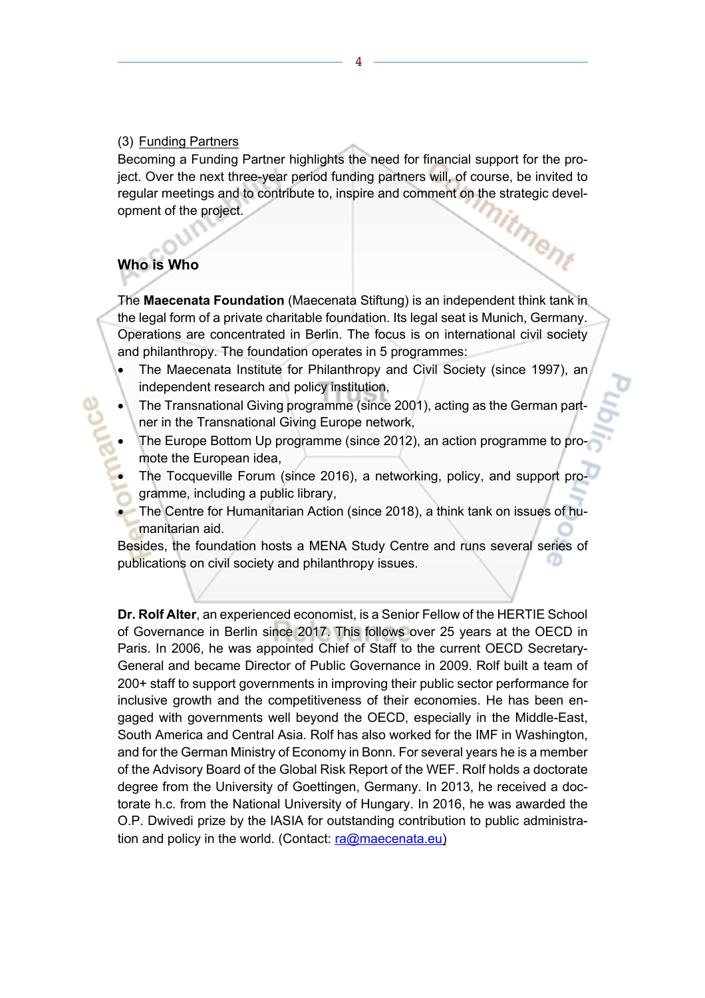#### (3) Funding Partners

Becoming a Funding Partner highlights the need for financial support for the project. Over the next three-year period funding partners will, of course, be invited to regular meetings and to contribute to, inspire and comment on the strategic devel-<br>opment of the project. opment of the project.

## **Who is Who**

The **Maecenata Foundation** (Maecenata Stiftung) is an independent think tank in the legal form of a private charitable foundation. Its legal seat is Munich, Germany. Operations are concentrated in Berlin. The focus is on international civil society and philanthropy. The foundation operates in 5 programmes:

- The Maecenata Institute for Philanthropy and Civil Society (since 1997), an independent research and policy institution,
- The Transnational Giving programme (since 2001), acting as the German partner in the Transnational Giving Europe network,
- The Europe Bottom Up programme (since 2012), an action programme to promote the European idea,
- The Tocqueville Forum (since 2016), a networking, policy, and support programme, including a public library,
- The Centre for Humanitarian Action (since 2018), a think tank on issues of humanitarian aid.

Besides, the foundation hosts a MENA Study Centre and runs several series of publications on civil society and philanthropy issues.

**Dr. Rolf Alter**, an experienced economist, is a Senior Fellow of the HERTIE School of Governance in Berlin since 2017. This follows over 25 years at the OECD in Paris. In 2006, he was appointed Chief of Staff to the current OECD Secretary-General and became Director of Public Governance in 2009. Rolf built a team of 200+ staff to support governments in improving their public sector performance for inclusive growth and the competitiveness of their economies. He has been engaged with governments well beyond the OECD, especially in the Middle-East, South America and Central Asia. Rolf has also worked for the IMF in Washington, and for the German Ministry of Economy in Bonn. For several years he is a member of the Advisory Board of the Global Risk Report of the WEF. Rolf holds a doctorate degree from the University of Goettingen, Germany. In 2013, he received a doctorate h.c. from the National University of Hungary. In 2016, he was awarded the O.P. Dwivedi prize by the IASIA for outstanding contribution to public administration and policy in the world. (Contact:  $ra@maecenata.eu$ )